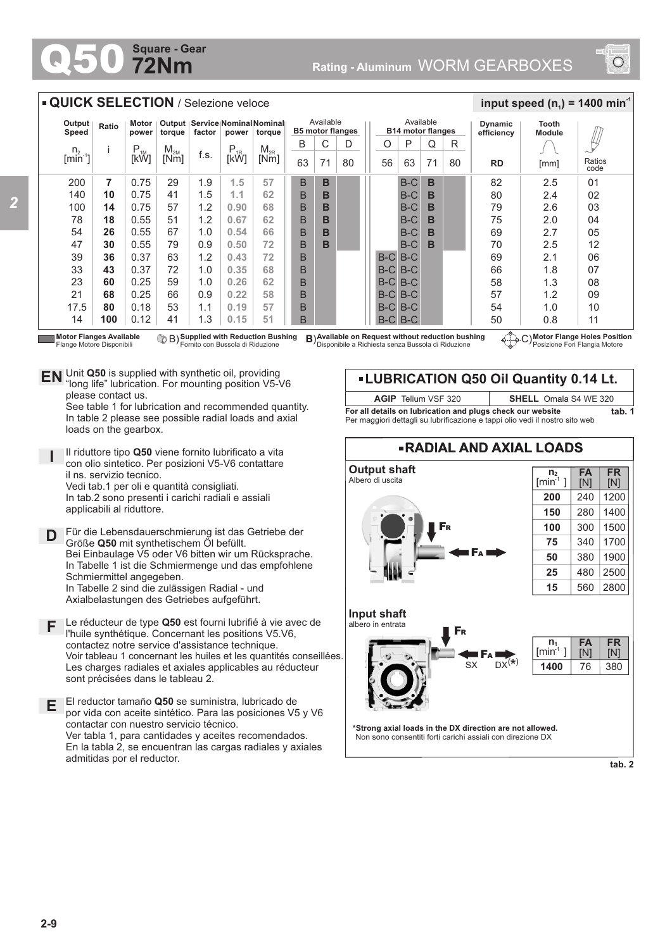## **72Nm Square - Gear**

*2*



## **RADIAL AND AXIAL LOADS Output shaft** Albero di uscita **\*Strong axial loads in the DX direction are not allowed.** Non sono consentiti forti carichi assiali con direzione DX **Input shaft** albero in entrata  $S_X$  DX<sup>(\*)</sup> F<sup>A</sup> F<sup>R</sup> F<sup>A</sup> F<sup>R</sup> **LUBRICATION Q50 Oil Quantity 0.14 Lt.** 380 **FR** [N] **FA** [N] 76 **n 1**  $[min^1]$ **1400 FR** [N] **FA** [N] **n 2**  $[min^1]$ 240 1400 1500 1700 1900 2500 2800 1200 280 300 340 380 480 560 **200 150 100 75 50 25 15 tab. 2 Motor Flange Holes Position** Posizione Fori Flangia Motore **Available (DR) Supplied with Reduction Bushing B) Available on Request without reduction bushing (C) (C) Flange<br>Flange Motore Disponibili Fornito con Bussola di Riduzione (Disponibile a Richiesta senza Bussola di Riduzion** Motor Flanges Available<br>Flange Motore Disponibili **Supplied with Reduction Bushing** Fornito con Bussola di Riduzione B) **B**) **For all details on lubrication and plugs check our website tab. 1** Per maggiori dettagli su lubrificazione e tappi olio vedi il nostro sito web **AGIP** Telium VSF 320 **SHELL** Omala S4 WE 320 200 140 100 78 54 47 39 33 23 21 17.5  $14$ **7 10 14 18 26 30 36 43 60 68 80 100** 0.75 0.75 0.75 0.55 0.55 0.55 0.37 0.37 0.25 0.25 0.18 0.12 29 41 57 51 67 79 63 72 59 66 53 41 1.9 1.5 1.2 1.2 1.0 0.9 1.2 1.0 1.0 0.9 1.1 1.3 n.  $[min^{-1}]$ i P<br>[kW]  $M_{2M}$ <br>Mml  $\begin{array}{c|c|c|c} \mathsf{M}_{\mathsf{2M}} & \mathsf{f.s.} & \mathsf{P}_{\mathsf{1R}} & \mathsf{M}_{\mathsf{2R}} \ \hline \mathsf{[Nm]} & \mathsf{[KW]} & \mathsf{[KW]} \end{array}$ **Output Speed Ratio Motor power Output torque Service Nominal Nominal factor power torque QUICK SELECTION** / Selezione veloce B 63 B B B B B B B B B B B B C 71 **B B B B B B** D 80 Available **B5 motor flanges** B-C B-C B-C B-C B-C B-C B-C B-C B-C B-C B-C B-C B-C B-C B-C B-C B-C B-C  $\Omega$ 71 **B B B B B B RD Dynamic efficiency** 82 80 79 75  $69$ 70 69 66 58 57 54 50 2.5  $2\Delta$ 2.6 2.0 2.7 2.5 2.1 1.8 1.3 1.2 1.0 0.8 Ratios code 01 02 03 04 05 12  $\Omega$ 07 08 09 10 11 **Tooth Module**  $\frac{1}{2}$  **input speed (n**<sub>1</sub>) = 1400 min<sup>-1</sup> Available **B14 motor flanges** R 80  $O | P$ 56 Unit **Q50** is supplied with synthetic oil, providing **EN** Unit Q50 is supplied with synthetic oil, providing<br>"long life" lubrication. For mounting position V5-V6 please contact us. See table 1 for lubrication and recommended quantity. In table 2 please see possible radial loads and axial loads on the gearbox. **D I** Il riduttore tipo **Q50** viene fornito lubrificato a vita con olio sintetico. Per posizioni V5-V6 contattare il ns. servizio tecnico. Vedi tab.1 per oli e quantità consigliati. In tab.2 sono presenti i carichi radiali e assiali applicabili al riduttore. Für die Lebensdauerschmierung ist das Getriebe der Größe **Q50** mit synthetischem Öl befüllt. Bei Einbaulage V5 oder V6 bitten wir um Rücksprache. In Tabelle 1 ist die Schmiermenge und das empfohlene Schmiermittel angegeben. In Tabelle 2 sind die zulässigen Radial - und Axialbelastungen des Getriebes aufgeführt. **E** El reductor tamaño **Q50** se suministra, lubricado de por vida con aceite sintético. Para las posiciones V5 y V6 contactar con nuestro servicio técnico. Ver tabla 1, para cantidades y aceites recomendados. En la tabla 2, se encuentran las cargas radiales y axiales admitidas por el reductor. **F** Le réducteur de type **Q50** est fourni lubrifié à vie avec de l'huile synthétique. Concernant les positions V5.V6, contactez notre service d'assistance technique. Voir tableau 1 concernant les huiles et les quantités conseillées. Les charges radiales et axiales applicables au réducteur sont précisées dans le tableau 2. 63 [mm] **1.5 1.1 0.90 0.67 0.54 0.50 0.43 0.35 0.26 0.22 0.19 0.15 57 62 68 62 66 72 72 68 62 58 57 51**